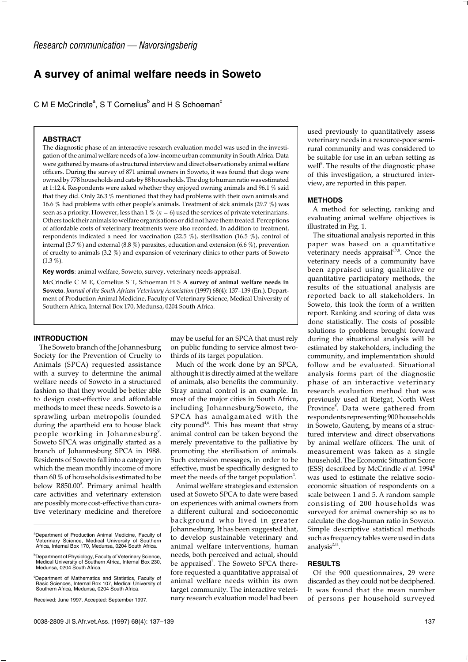# **A survey of animal welfare needs in Soweto**

C M E McCrindle<sup>a</sup>, S T Cornelius<sup>b</sup> and H S Schoeman<sup>c</sup>

### **ABSTRACT**

The diagnostic phase of an interactive research evaluation model was used in the investigation of the animal welfare needs of a low-income urban community in South Africa. Data were gathered by means of a structured interview and direct observations by animal welfare officers. During the survey of 871 animal owners in Soweto, it was found that dogs were owned by 778 households and cats by 88 households. The dog to human ratio was estimated at 1:12.4. Respondents were asked whether they enjoyed owning animals and 96.1 % said that they did. Only 26.3 % mentioned that they had problems with their own animals and 16.6 % had problems with other people's animals. Treatment of sick animals (29.7 %) was seen as a priority. However, less than  $1\%$  ( $n = 6$ ) used the services of private veterinarians. Others took their animals to welfare organisations or did not have them treated. Perceptions of affordable costs of veterinary treatments were also recorded. In addition to treatment, respondents indicated a need for vaccination (22.5 %), sterilisation (16.5 %), control of internal (3.7 %) and external (8.8 %) parasites, education and extension (6.6 %), prevention of cruelty to animals (3.2 %) and expansion of veterinary clinics to other parts of Soweto  $(1.3\% )$ 

**Key words**: animal welfare, Soweto, survey, veterinary needs appraisal.

McCrindle C M E, Cornelius S T, Schoeman H S **A survey of animal welfare needs in Soweto**. *Journal of the South African Veterinary Association* (1997) 68(4): 137–139 (En.). Department of Production Animal Medicine, Faculty of Veterinary Science, Medical University of Southern Africa, Internal Box 170, Medunsa, 0204 South Africa.

## **INTRODUCTION**

The Soweto branch of the Johannesburg Society for the Prevention of Cruelty to Animals (SPCA) requested assistance with a survey to determine the animal welfare needs of Soweto in a structured fashion so that they would be better able to design cost-effective and affordable methods to meet these needs. Soweto is a sprawling urban metropolis founded during the apartheid era to house black people working in Johannesburg<sup>9</sup>. Soweto SPCA was originally started as a branch of Johannesburg SPCA in 1988. Residents of Soweto fall into a category in which the mean monthly income of more than 60 % of households is estimated to be below R850.00<sup>3</sup>. Primary animal health care activities and veterinary extension are possibly more cost-effective than curative veterinary medicine and therefore may be useful for an SPCA that must rely on public funding to service almost twothirds of its target population.

Much of the work done by an SPCA, although it is directly aimed at the welfare of animals, also benefits the community. Stray animal control is an example. In most of the major cities in South Africa, including Johannesburg/Soweto, the SPCA has amalgamated with the city pound<sup>4,6</sup>. This has meant that stray animal control can be taken beyond the merely preventative to the palliative by promoting the sterilisation of animals. Such extension messages, in order to be effective, must be specifically designed to meet the needs of the target population<sup>1</sup>.

Animal welfare strategies and extension used at Soweto SPCA to date were based on experiences with animal owners from a different cultural and socioeconomic background who lived in greater Johannesburg. It has been suggested that, to develop sustainable veterinary and animal welfare interventions, human needs, both perceived and actual, should be appraised<sup>7</sup>. The Soweto SPCA therefore requested a quantitative appraisal of animal welfare needs within its own target community. The interactive veterinary research evaluation model had been

used previously to quantitatively assess veterinary needs in a resource-poor semirural community and was considered to be suitable for use in an urban setting as well<sup>8</sup>. The results of the diagnostic phase of this investigation, a structured interview, are reported in this paper.

#### **METHODS**

A method for selecting, ranking and evaluating animal welfare objectives is illustrated in Fig. 1.

The situational analysis reported in this paper was based on a quantitative veterinary needs appraisal $678$ . Once the veterinary needs of a community have been appraised using qualitative or quantitative participatory methods, the results of the situational analysis are reported back to all stakeholders. In Soweto, this took the form of a written report. Ranking and scoring of data was done statistically. The costs of possible solutions to problems brought forward during the situational analysis will be estimated by stakeholders, including the community, and implementation should follow and be evaluated. Situational analysis forms part of the diagnostic phase of an interactive veterinary research evaluation method that was previously used at Rietgat, North West Province<sup>8</sup>. Data were gathered from respondents representing 900 households in Soweto, Gauteng, by means of a structured interview and direct observations by animal welfare officers. The unit of measurement was taken as a single household. The Economic Situation Score (ESS) described by McCrindle et al. 1994<sup>8</sup> was used to estimate the relative socioeconomic situation of respondents on a scale between 1 and 5. A random sample consisting of 200 households was surveyed for animal ownership so as to calculate the dog-human ratio in Soweto. Simple descriptive statistical methods such as frequency tables were used in data analysis $2,11$ .

## **RESULTS**

Of the 900 questionnaires, 29 were discarded as they could not be deciphered. It was found that the mean number of persons per household surveyed

<sup>&</sup>lt;sup>a</sup>Department of Production Animal Medicine, Faculty of Veterinary Science, Medical University of Southern Africa, Internal Box 170, Medunsa, 0204 South Africa.

b Department of Physiology, Faculty of Veterinary Science, Medical University of Southern Africa, Internal Box 230, Medunsa, 0204 South Africa.

<sup>&</sup>lt;sup>c</sup>Department of Mathematics and Statistics, Faculty of Basic Sciences, Internal Box 107, Medical University of Southern Africa, Medunsa, 0204 South Africa.

Received: June 1997. Accepted: September 1997.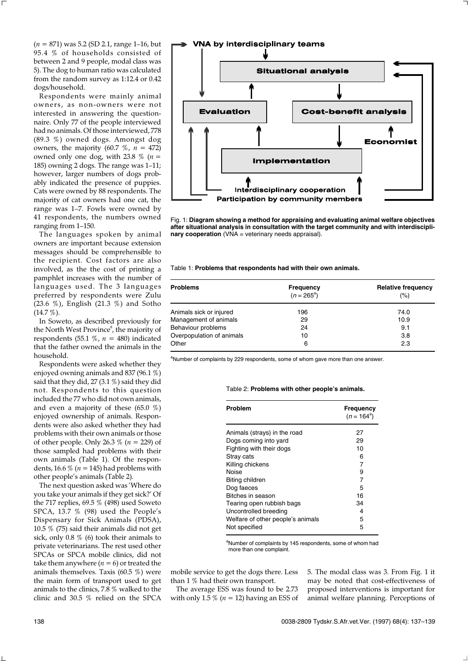(*n* = 871) was 5.2 (SD 2.1, range 1–16, but 95.4 % of households consisted of between 2 and 9 people, modal class was 5). The dog to human ratio was calculated from the random survey as 1:12.4 or 0.42 dogs/household.

Respondents were mainly animal owners, as non-owners were not interested in answering the questionnaire. Only 77 of the people interviewed had no animals. Of those interviewed, 778 (89.3 %) owned dogs. Amongst dog owners, the majority  $(60.7 \, %), n = 472)$ owned only one dog, with 23.8  $\%$  (*n* = 185) owning 2 dogs. The range was 1–11; however, larger numbers of dogs probably indicated the presence of puppies. Cats were owned by 88 respondents. The majority of cat owners had one cat, the range was 1–7. Fowls were owned by 41 respondents, the numbers owned ranging from 1–150.

The languages spoken by animal owners are important because extension messages should be comprehensible to the recipient. Cost factors are also involved, as the the cost of printing a pamphlet increases with the number of languages used. The 3 languages preferred by respondents were Zulu (23.6 %), English (21.3 %) and Sotho (14.7 %).

In Soweto, as described previously for the North West Province<sup>8</sup>, the majority of respondents (55.1  $\%$ ,  $n = 480$ ) indicated that the father owned the animals in the household.

Respondents were asked whether they enjoyed owning animals and 837 (96.1 %) said that they did, 27 (3.1 %) said they did not. Respondents to this question included the 77 who did not own animals, and even a majority of these (65.0 %) enjoyed ownership of animals. Respondents were also asked whether they had problems with their own animals or those of other people. Only 26.3 % (*n* = 229) of those sampled had problems with their own animals (Table 1). Of the respondents, 16.6 % (*n* = 145) had problems with other people's animals (Table 2).

The next question asked was 'Where do you take your animals if they get sick?' Of the 717 replies, 69.5 % (498) used Soweto SPCA, 13.7 % (98) used the People's Dispensary for Sick Animals (PDSA), 10.5 % (75) said their animals did not get sick, only 0.8 % (6) took their animals to private veterinarians. The rest used other SPCAs or SPCA mobile clinics, did not take them anywhere  $(n = 6)$  or treated the animals themselves. Taxis (60.5 %) were the main form of transport used to get animals to the clinics, 7.8  $%$  walked to the clinic and 30.5 % relied on the SPCA



Fig. 1: **Diagram showing a method for appraising and evaluating animal welfare objectives after situational analysis in consultation with the target community and with interdisciplinary cooperation** (VNA = veterinary needs appraisal).

Table 1: **Problems that respondents had with their own animals.**

| <b>Problems</b>           | Frequency<br>$(n = 265^{\circ})$ | <b>Relative frequency</b><br>(%) |  |  |
|---------------------------|----------------------------------|----------------------------------|--|--|
| Animals sick or injured   | 196                              | 74.0                             |  |  |
| Management of animals     | 29                               | 10.9                             |  |  |
| Behaviour problems        | 24                               | 9.1                              |  |  |
| Overpopulation of animals | 10                               | 3.8                              |  |  |
| Other                     | 6                                | 2.3                              |  |  |

<sup>a</sup>Number of complaints by 229 respondents, some of whom gave more than one answer.

#### Table 2: **Problems with other people's animals.**

| <b>Problem</b>                    | Frequency<br>$(n = 164^a)$ |
|-----------------------------------|----------------------------|
| Animals (strays) in the road      | 27                         |
| Dogs coming into yard             | 29                         |
| Fighting with their dogs          | 10                         |
| Stray cats                        | 6                          |
| Killing chickens                  | 7                          |
| Noise                             | 9                          |
| Biting children                   | 7                          |
| Dog faeces                        | 5                          |
| Bitches in season                 | 16                         |
| Tearing open rubbish bags         | 34                         |
| Uncontrolled breeding             | 4                          |
| Welfare of other people's animals | 5                          |
| Not specified                     | 5                          |

<sup>a</sup>Number of complaints by 145 respondents, some of whom had more than one complaint.

mobile service to get the dogs there. Less than 1 % had their own transport.

The average ESS was found to be 2.73 with only 1.5  $\%$  ( $n = 12$ ) having an ESS of 5. The modal class was 3. From Fig. 1 it may be noted that cost-effectiveness of proposed interventions is important for animal welfare planning. Perceptions of